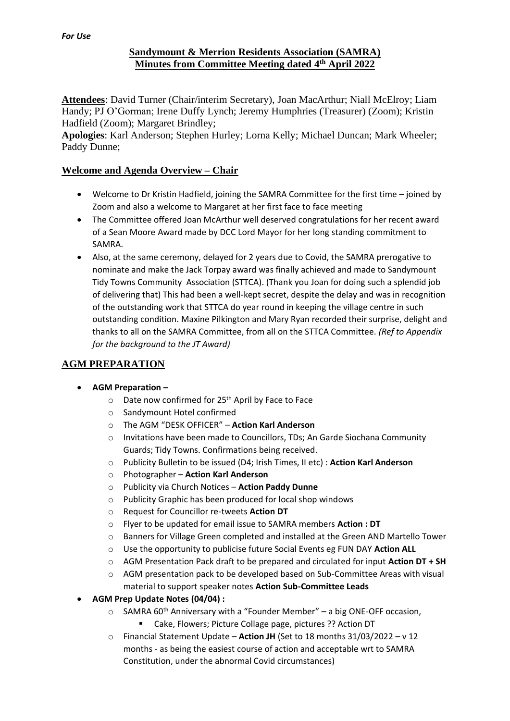## **Sandymount & Merrion Residents Association (SAMRA) Minutes from Committee Meeting dated 4 th April 2022**

**Attendees**: David Turner (Chair/interim Secretary), Joan MacArthur; Niall McElroy; Liam Handy; PJ O'Gorman; Irene Duffy Lynch; Jeremy Humphries (Treasurer) (Zoom); Kristin Hadfield (Zoom); Margaret Brindley;

**Apologies**: Karl Anderson; Stephen Hurley; Lorna Kelly; Michael Duncan; Mark Wheeler; Paddy Dunne;

## **Welcome and Agenda Overview – Chair**

- Welcome to Dr Kristin Hadfield, joining the SAMRA Committee for the first time joined by Zoom and also a welcome to Margaret at her first face to face meeting
- The Committee offered Joan McArthur well deserved congratulations for her recent award of a Sean Moore Award made by DCC Lord Mayor for her long standing commitment to SAMRA.
- Also, at the same ceremony, delayed for 2 years due to Covid, the SAMRA prerogative to nominate and make the Jack Torpay award was finally achieved and made to Sandymount Tidy Towns Community Association (STTCA). (Thank you Joan for doing such a splendid job of delivering that) This had been a well-kept secret, despite the delay and was in recognition of the outstanding work that STTCA do year round in keeping the village centre in such outstanding condition. Maxine Pilkington and Mary Ryan recorded their surprise, delight and thanks to all on the SAMRA Committee, from all on the STTCA Committee. *(Ref to Appendix for the background to the JT Award)*

# **AGM PREPARATION**

- **AGM Preparation –**
	- $\circ$  Date now confirmed for 25<sup>th</sup> April by Face to Face
	- o Sandymount Hotel confirmed
	- o The AGM "DESK OFFICER" **Action Karl Anderson**
	- o Invitations have been made to Councillors, TDs; An Garde Siochana Community Guards; Tidy Towns. Confirmations being received.
	- o Publicity Bulletin to be issued (D4; Irish Times, II etc) : **Action Karl Anderson**
	- o Photographer **Action Karl Anderson**
	- o Publicity via Church Notices **Action Paddy Dunne**
	- o Publicity Graphic has been produced for local shop windows
	- o Request for Councillor re-tweets **Action DT**
	- o Flyer to be updated for email issue to SAMRA members **Action : DT**
	- o Banners for Village Green completed and installed at the Green AND Martello Tower
	- o Use the opportunity to publicise future Social Events eg FUN DAY **Action ALL**
	- o AGM Presentation Pack draft to be prepared and circulated for input **Action DT + SH**
	- o AGM presentation pack to be developed based on Sub-Committee Areas with visual material to support speaker notes **Action Sub-Committee Leads**
- **AGM Prep Update Notes (04/04) :**
	- $\circ$  SAMRA 60<sup>th</sup> Anniversary with a "Founder Member" a big ONE-OFF occasion,
		- Cake, Flowers; Picture Collage page, pictures ?? Action DT
	- o Financial Statement Update **Action JH** (Set to 18 months 31/03/2022 v 12 months - as being the easiest course of action and acceptable wrt to SAMRA Constitution, under the abnormal Covid circumstances)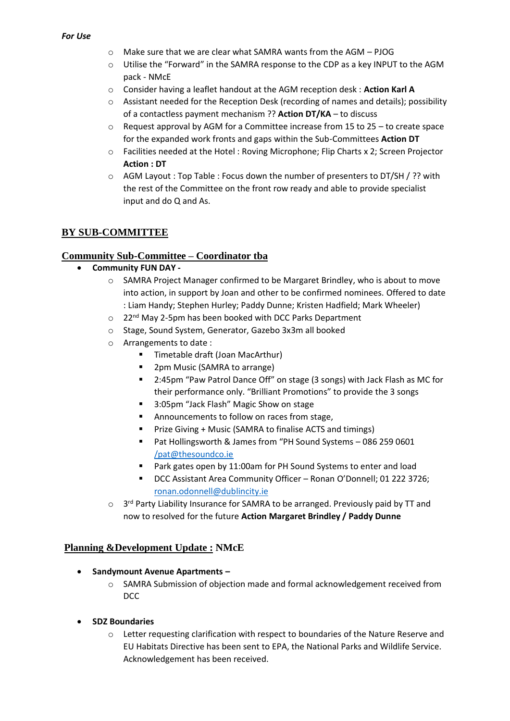- o Make sure that we are clear what SAMRA wants from the AGM PJOG
- o Utilise the "Forward" in the SAMRA response to the CDP as a key INPUT to the AGM pack - NMcE
- o Consider having a leaflet handout at the AGM reception desk : **Action Karl A**
- o Assistant needed for the Reception Desk (recording of names and details); possibility of a contactless payment mechanism ?? **Action DT/KA** – to discuss
- $\circ$  Request approval by AGM for a Committee increase from 15 to 25 to create space for the expanded work fronts and gaps within the Sub-Committees **Action DT**
- o Facilities needed at the Hotel : Roving Microphone; Flip Charts x 2; Screen Projector **Action : DT**
- o AGM Layout : Top Table : Focus down the number of presenters to DT/SH / ?? with the rest of the Committee on the front row ready and able to provide specialist input and do Q and As.

# **BY SUB-COMMITTEE**

#### **Community Sub-Committee – Coordinator tba**

- **Community FUN DAY** 
	- o SAMRA Project Manager confirmed to be Margaret Brindley, who is about to move into action, in support by Joan and other to be confirmed nominees. Offered to date : Liam Handy; Stephen Hurley; Paddy Dunne; Kristen Hadfield; Mark Wheeler)
	- o 22nd May 2-5pm has been booked with DCC Parks Department
	- o Stage, Sound System, Generator, Gazebo 3x3m all booked
	- o Arrangements to date :
		- Timetable draft (Joan MacArthur)
		- 2pm Music (SAMRA to arrange)
		- 2:45pm "Paw Patrol Dance Off" on stage (3 songs) with Jack Flash as MC for their performance only. "Brilliant Promotions" to provide the 3 songs
		- 3:05pm "Jack Flash" Magic Show on stage
		- Announcements to follow on races from stage,
		- Prize Giving + Music (SAMRA to finalise ACTS and timings)
		- Pat Hollingsworth & James from "PH Sound Systems 086 259 0601 [/pat@thesoundco.ie](mailto:/pat@thesoundco.ie)
		- Park gates open by 11:00am for PH Sound Systems to enter and load
		- DCC Assistant Area Community Officer Ronan O'Donnell; 01 222 3726; [ronan.odonnell@dublincity.ie](mailto:ronan.odonnell@dublincity.ie)
	- o 3<sup>rd</sup> Party Liability Insurance for SAMRA to be arranged. Previously paid by TT and now to resolved for the future **Action Margaret Brindley / Paddy Dunne**

## **Planning &Development Update : NMcE**

- **Sandymount Avenue Apartments –**
	- o SAMRA Submission of objection made and formal acknowledgement received from DCC
- **SDZ Boundaries**
	- $\circ$  Letter requesting clarification with respect to boundaries of the Nature Reserve and EU Habitats Directive has been sent to EPA, the National Parks and Wildlife Service. Acknowledgement has been received.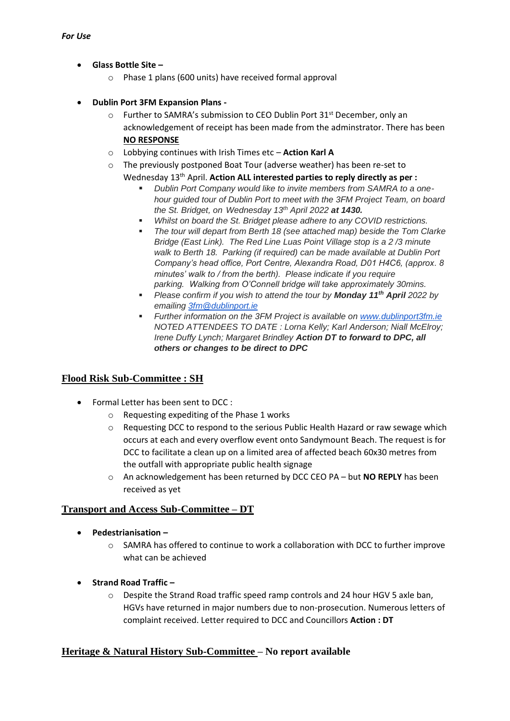- **Glass Bottle Site –**
	- o Phase 1 plans (600 units) have received formal approval
- **Dublin Port 3FM Expansion Plans -**
	- $\circ$  Further to SAMRA's submission to CEO Dublin Port 31st December, only an acknowledgement of receipt has been made from the adminstrator. There has been **NO RESPONSE**
	- o Lobbying continues with Irish Times etc **Action Karl A**
	- o The previously postponed Boat Tour (adverse weather) has been re-set to

Wednesday 13th April. **Action ALL interested parties to reply directly as per :**

- **Dublin Port Company would like to invite members from SAMRA to a one***hour guided tour of Dublin Port to meet with the 3FM Project Team, on board the St. Bridget, on Wednesday 13th April 2022 at 1430.*
- Whilst on board the St. Bridget please adhere to any COVID restrictions.
- **The tour will depart from Berth 18 (see attached map) beside the Tom Clarke** *Bridge (East Link). The Red Line Luas Point Village stop is a 2 /3 minute walk to Berth 18. Parking (if required) can be made available at Dublin Port Company's head office, Port Centre, Alexandra Road, D01 H4C6, (approx. 8 minutes' walk to / from the berth). Please indicate if you require parking. Walking from O'Connell bridge will take approximately 30mins.*
- *Please confirm if you wish to attend the tour by Monday 11th April 2022 by emailing [3fm@dublinport.ie](mailto:3fm@dublinport.ie)*
- *Further information on the 3FM Project is available on [www.dublinport3fm.ie](http://www.dublinport3fm.ie/) NOTED ATTENDEES TO DATE : Lorna Kelly; Karl Anderson; Niall McElroy; Irene Duffy Lynch; Margaret Brindley Action DT to forward to DPC, all others or changes to be direct to DPC*

# **Flood Risk Sub-Committee : SH**

- Formal Letter has been sent to DCC :
	- o Requesting expediting of the Phase 1 works
	- $\circ$  Requesting DCC to respond to the serious Public Health Hazard or raw sewage which occurs at each and every overflow event onto Sandymount Beach. The request is for DCC to facilitate a clean up on a limited area of affected beach 60x30 metres from the outfall with appropriate public health signage
	- o An acknowledgement has been returned by DCC CEO PA but **NO REPLY** has been received as yet

## **Transport and Access Sub-Committee – DT**

- **Pedestrianisation –**
	- $\circ$  SAMRA has offered to continue to work a collaboration with DCC to further improve what can be achieved
- **Strand Road Traffic –**
	- $\circ$  Despite the Strand Road traffic speed ramp controls and 24 hour HGV 5 axle ban, HGVs have returned in major numbers due to non-prosecution. Numerous letters of complaint received. Letter required to DCC and Councillors **Action : DT**

## **Heritage & Natural History Sub-Committee – No report available**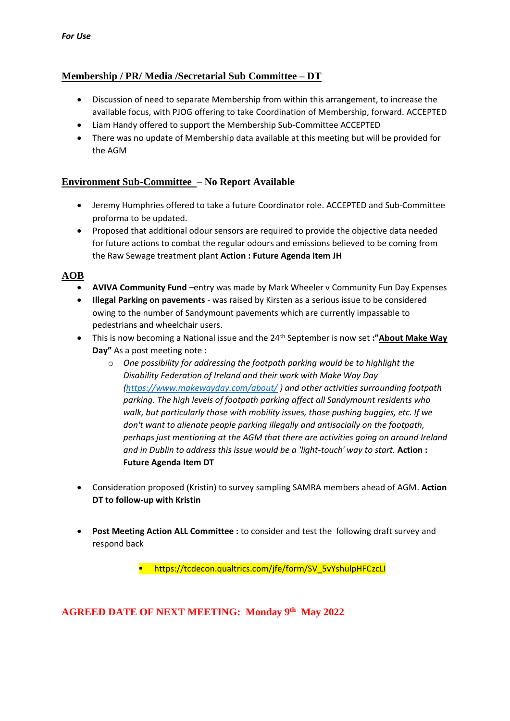# **Membership / PR/ Media /Secretarial Sub Committee – DT**

- Discussion of need to separate Membership from within this arrangement, to increase the available focus, with PJOG offering to take Coordination of Membership, forward. ACCEPTED
- Liam Handy offered to support the Membership Sub-Committee ACCEPTED
- There was no update of Membership data available at this meeting but will be provided for the AGM

### **Environment Sub-Committee – No Report Available**

- Jeremy Humphries offered to take a future Coordinator role. ACCEPTED and Sub-Committee proforma to be updated.
- Proposed that additional odour sensors are required to provide the objective data needed for future actions to combat the regular odours and emissions believed to be coming from the Raw Sewage treatment plant **Action : Future Agenda Item JH**

### **AOB**

- **AVIVA Community Fund** –entry was made by Mark Wheeler v Community Fun Day Expenses
- **Illegal Parking on pavements** was raised by Kirsten as a serious issue to be considered owing to the number of Sandymount pavements which are currently impassable to pedestrians and wheelchair users.
- This is now becoming a National issue and the 24th September is now set **:"About Make Way Day"** As a post meeting note :
	- o *One possibility for addressing the footpath parking would be to highlight the Disability Federation of Ireland and their work with Make Way Day [\(https://www.makewayday.com/about/](https://www.makewayday.com/about/) ) and other activities surrounding footpath parking. The high levels of footpath parking affect all Sandymount residents who walk, but particularly those with mobility issues, those pushing buggies, etc. If we don't want to alienate people parking illegally and antisocially on the footpath, perhaps just mentioning at the AGM that there are activities going on around Ireland and in Dublin to address this issue would be a 'light-touch' way to start.* **Action : Future Agenda Item DT**
- Consideration proposed (Kristin) to survey sampling SAMRA members ahead of AGM. **Action DT to follow-up with Kristin**
- **Post Meeting Action ALL Committee :** to consider and test the following draft survey and respond back

■ https://tcdecon.qualtrics.com/jfe/form/SV\_5vYshulpHFCzcLI

**AGREED DATE OF NEXT MEETING: Monday 9 th May 2022**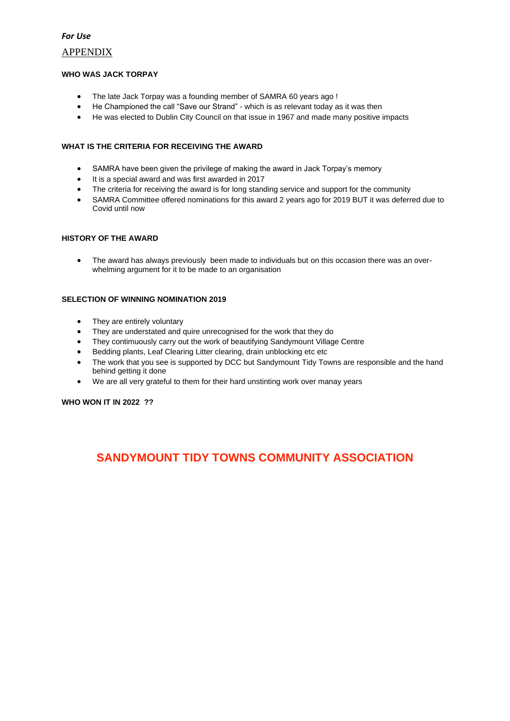#### *For Use*

#### APPENDIX

#### **WHO WAS JACK TORPAY**

- The late Jack Torpay was a founding member of SAMRA 60 years ago !
- He Championed the call "Save our Strand" which is as relevant today as it was then
- He was elected to Dublin City Council on that issue in 1967 and made many positive impacts

#### **WHAT IS THE CRITERIA FOR RECEIVING THE AWARD**

- SAMRA have been given the privilege of making the award in Jack Torpay's memory
- It is a special award and was first awarded in 2017
- The criteria for receiving the award is for long standing service and support for the community
- SAMRA Committee offered nominations for this award 2 years ago for 2019 BUT it was deferred due to Covid until now

#### **HISTORY OF THE AWARD**

• The award has always previously been made to individuals but on this occasion there was an overwhelming argument for it to be made to an organisation

#### **SELECTION OF WINNING NOMINATION 2019**

- They are entirely voluntary
- They are understated and quire unrecognised for the work that they do
- They contimuously carry out the work of beautifying Sandymount Village Centre
- Bedding plants, Leaf Clearing Litter clearing, drain unblocking etc etc
- The work that you see is supported by DCC but Sandymount Tidy Towns are responsible and the hand behind getting it done
- We are all very grateful to them for their hard unstinting work over manay years

**WHO WON IT IN 2022 ??**

# **SANDYMOUNT TIDY TOWNS COMMUNITY ASSOCIATION**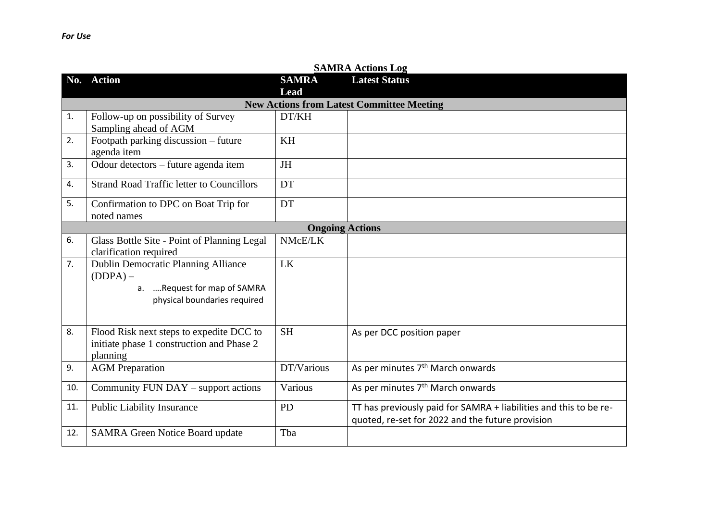|     | <b>SAMRA Actions Log</b>                         |                        |                                                                   |  |  |
|-----|--------------------------------------------------|------------------------|-------------------------------------------------------------------|--|--|
|     | No. Action                                       | <b>SAMRA</b>           | <b>Latest Status</b>                                              |  |  |
|     |                                                  | Lead                   |                                                                   |  |  |
|     | <b>New Actions from Latest Committee Meeting</b> |                        |                                                                   |  |  |
| 1.  | Follow-up on possibility of Survey               | DT/KH                  |                                                                   |  |  |
|     | Sampling ahead of AGM                            |                        |                                                                   |  |  |
| 2.  | Footpath parking discussion - future             | <b>KH</b>              |                                                                   |  |  |
|     | agenda item                                      |                        |                                                                   |  |  |
| 3.  | Odour detectors - future agenda item             | <b>JH</b>              |                                                                   |  |  |
| 4.  | <b>Strand Road Traffic letter to Councillors</b> | <b>DT</b>              |                                                                   |  |  |
| 5.  | Confirmation to DPC on Boat Trip for             | DT                     |                                                                   |  |  |
|     | noted names                                      |                        |                                                                   |  |  |
|     |                                                  | <b>Ongoing Actions</b> |                                                                   |  |  |
| 6.  | Glass Bottle Site - Point of Planning Legal      | NMcE/LK                |                                                                   |  |  |
|     | clarification required                           |                        |                                                                   |  |  |
| 7.  | Dublin Democratic Planning Alliance              | LK                     |                                                                   |  |  |
|     | $(DDPA)$ –                                       |                        |                                                                   |  |  |
|     | a.  Request for map of SAMRA                     |                        |                                                                   |  |  |
|     | physical boundaries required                     |                        |                                                                   |  |  |
|     |                                                  |                        |                                                                   |  |  |
| 8.  | Flood Risk next steps to expedite DCC to         | <b>SH</b>              | As per DCC position paper                                         |  |  |
|     | initiate phase 1 construction and Phase 2        |                        |                                                                   |  |  |
|     | planning                                         |                        |                                                                   |  |  |
| 9.  | <b>AGM</b> Preparation                           | DT/Various             | As per minutes 7 <sup>th</sup> March onwards                      |  |  |
| 10. | Community FUN DAY - support actions              | Various                | As per minutes 7 <sup>th</sup> March onwards                      |  |  |
| 11. | <b>Public Liability Insurance</b>                | <b>PD</b>              | TT has previously paid for SAMRA + liabilities and this to be re- |  |  |
|     |                                                  |                        | quoted, re-set for 2022 and the future provision                  |  |  |
| 12. | <b>SAMRA Green Notice Board update</b>           | Tba                    |                                                                   |  |  |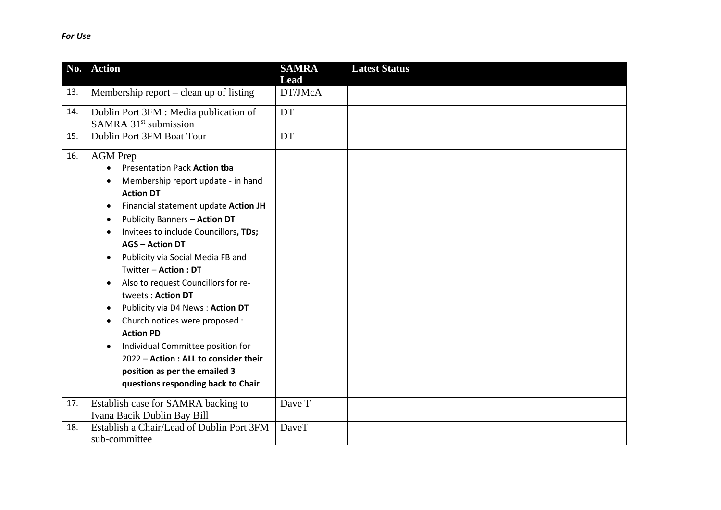|     | No. Action                                                                                                                                                                                                                                                                                                                                                                                                                                                                                                                                                                                                                                 | <b>SAMRA</b>           | <b>Latest Status</b> |
|-----|--------------------------------------------------------------------------------------------------------------------------------------------------------------------------------------------------------------------------------------------------------------------------------------------------------------------------------------------------------------------------------------------------------------------------------------------------------------------------------------------------------------------------------------------------------------------------------------------------------------------------------------------|------------------------|----------------------|
| 13. | Membership report $-$ clean up of listing                                                                                                                                                                                                                                                                                                                                                                                                                                                                                                                                                                                                  | <b>Lead</b><br>DT/JMcA |                      |
| 14. | Dublin Port 3FM : Media publication of<br>SAMRA 31 <sup>st</sup> submission                                                                                                                                                                                                                                                                                                                                                                                                                                                                                                                                                                | DT                     |                      |
| 15. | Dublin Port 3FM Boat Tour                                                                                                                                                                                                                                                                                                                                                                                                                                                                                                                                                                                                                  | DT                     |                      |
| 16. | <b>AGM</b> Prep<br>Presentation Pack Action tba<br>Membership report update - in hand<br><b>Action DT</b><br>Financial statement update Action JH<br>Publicity Banners - Action DT<br>Invitees to include Councillors, TDs;<br><b>AGS - Action DT</b><br>Publicity via Social Media FB and<br>Twitter - Action: DT<br>Also to request Councillors for re-<br>tweets: Action DT<br>Publicity via D4 News: Action DT<br>Church notices were proposed :<br><b>Action PD</b><br>Individual Committee position for<br>$\bullet$<br>2022 - Action : ALL to consider their<br>position as per the emailed 3<br>questions responding back to Chair |                        |                      |
| 17. | Establish case for SAMRA backing to<br>Ivana Bacik Dublin Bay Bill                                                                                                                                                                                                                                                                                                                                                                                                                                                                                                                                                                         | Dave T                 |                      |
| 18. | Establish a Chair/Lead of Dublin Port 3FM<br>sub-committee                                                                                                                                                                                                                                                                                                                                                                                                                                                                                                                                                                                 | <b>DaveT</b>           |                      |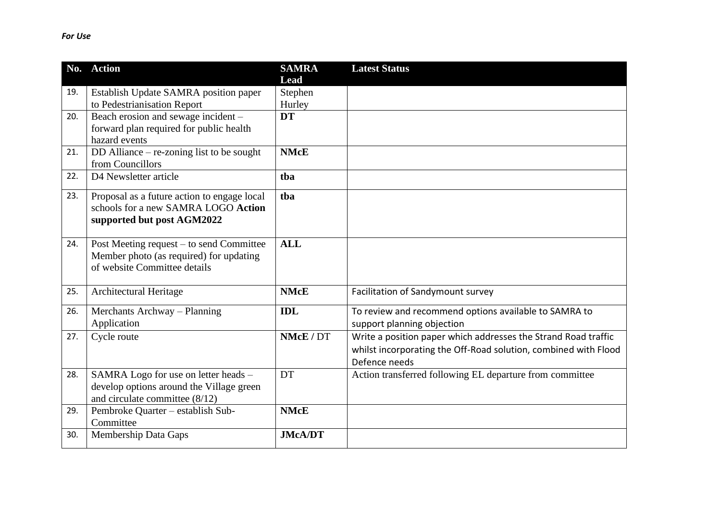| No. | <b>Action</b>                               | <b>SAMRA</b><br><b>Lead</b> | <b>Latest Status</b>                                            |
|-----|---------------------------------------------|-----------------------------|-----------------------------------------------------------------|
| 19. | Establish Update SAMRA position paper       | Stephen                     |                                                                 |
|     | to Pedestrianisation Report                 | Hurley                      |                                                                 |
| 20. | Beach erosion and sewage incident -         | <b>DT</b>                   |                                                                 |
|     | forward plan required for public health     |                             |                                                                 |
|     | hazard events                               |                             |                                                                 |
| 21. | DD Alliance – re-zoning list to be sought   | <b>NMcE</b>                 |                                                                 |
|     | from Councillors                            |                             |                                                                 |
| 22. | D4 Newsletter article                       | tba                         |                                                                 |
| 23. | Proposal as a future action to engage local | tba                         |                                                                 |
|     | schools for a new SAMRA LOGO Action         |                             |                                                                 |
|     | supported but post AGM2022                  |                             |                                                                 |
| 24. | Post Meeting request – to send Committee    | <b>ALL</b>                  |                                                                 |
|     | Member photo (as required) for updating     |                             |                                                                 |
|     | of website Committee details                |                             |                                                                 |
| 25. | Architectural Heritage                      | <b>NMcE</b>                 | Facilitation of Sandymount survey                               |
|     |                                             |                             |                                                                 |
| 26. | Merchants Archway - Planning                | <b>IDL</b>                  | To review and recommend options available to SAMRA to           |
|     | Application                                 |                             | support planning objection                                      |
| 27. | Cycle route                                 | NMcE / DT                   | Write a position paper which addresses the Strand Road traffic  |
|     |                                             |                             | whilst incorporating the Off-Road solution, combined with Flood |
|     |                                             |                             | Defence needs                                                   |
| 28. | SAMRA Logo for use on letter heads -        | DT                          | Action transferred following EL departure from committee        |
|     | develop options around the Village green    |                             |                                                                 |
|     | and circulate committee $(8/12)$            |                             |                                                                 |
| 29. | Pembroke Quarter - establish Sub-           | <b>NMcE</b>                 |                                                                 |
| 30. | Committee                                   |                             |                                                                 |
|     | <b>Membership Data Gaps</b>                 | <b>JMcA/DT</b>              |                                                                 |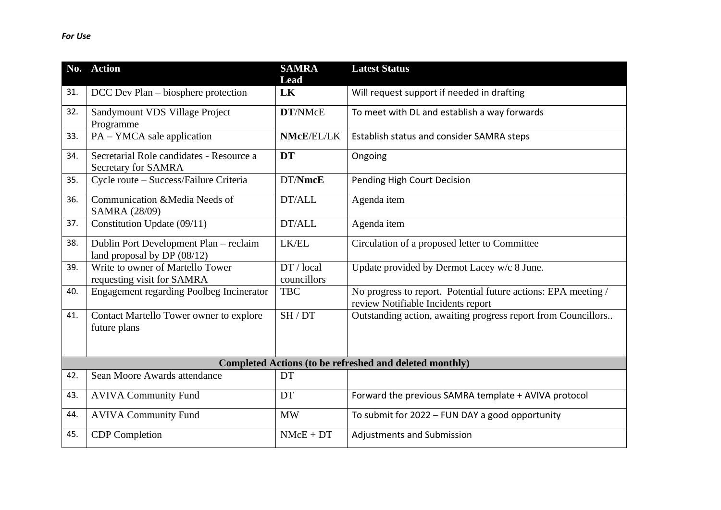|     | No. Action                                                              | <b>SAMRA</b><br>Lead      | <b>Latest Status</b>                                                                                 |
|-----|-------------------------------------------------------------------------|---------------------------|------------------------------------------------------------------------------------------------------|
| 31. | DCC Dev Plan – biosphere protection                                     | LK                        | Will request support if needed in drafting                                                           |
| 32. | Sandymount VDS Village Project<br>Programme                             | DT/NMcE                   | To meet with DL and establish a way forwards                                                         |
| 33. | PA – YMCA sale application                                              | NMcE/EL/LK                | Establish status and consider SAMRA steps                                                            |
| 34. | Secretarial Role candidates - Resource a<br>Secretary for SAMRA         | <b>DT</b>                 | Ongoing                                                                                              |
| 35. | Cycle route - Success/Failure Criteria                                  | DT/NmcE                   | Pending High Court Decision                                                                          |
| 36. | Communication &Media Needs of<br>SAMRA (28/09)                          | DT/ALL                    | Agenda item                                                                                          |
| 37. | Constitution Update (09/11)                                             | DT/ALL                    | Agenda item                                                                                          |
| 38. | Dublin Port Development Plan - reclaim<br>land proposal by DP $(08/12)$ | LK/EL                     | Circulation of a proposed letter to Committee                                                        |
| 39. | Write to owner of Martello Tower<br>requesting visit for SAMRA          | DT / local<br>councillors | Update provided by Dermot Lacey w/c 8 June.                                                          |
| 40. | <b>Engagement regarding Poolbeg Incinerator</b>                         | <b>TBC</b>                | No progress to report. Potential future actions: EPA meeting /<br>review Notifiable Incidents report |
| 41. | Contact Martello Tower owner to explore<br>future plans                 | SH/DT                     | Outstanding action, awaiting progress report from Councillors                                        |
|     |                                                                         |                           | Completed Actions (to be refreshed and deleted monthly)                                              |
| 42. | Sean Moore Awards attendance                                            | DT                        |                                                                                                      |
| 43. | <b>AVIVA Community Fund</b>                                             | DT                        | Forward the previous SAMRA template + AVIVA protocol                                                 |
| 44. | <b>AVIVA Community Fund</b>                                             | <b>MW</b>                 | To submit for 2022 - FUN DAY a good opportunity                                                      |
| 45. | <b>CDP</b> Completion                                                   | $NMcE + DT$               | <b>Adjustments and Submission</b>                                                                    |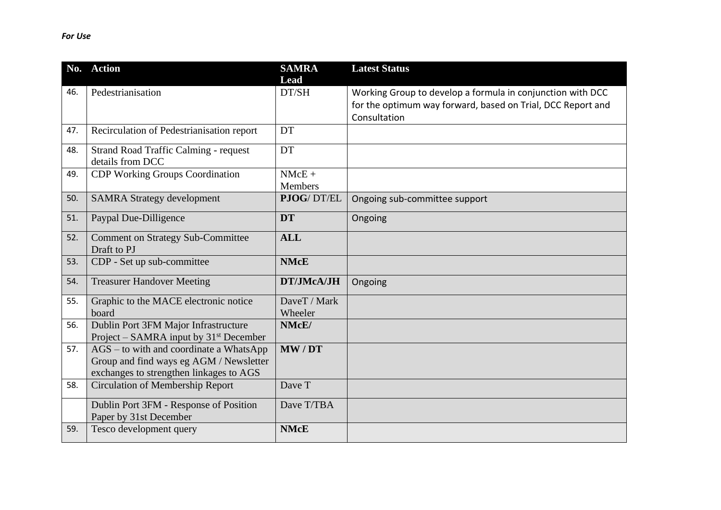|     | No. Action                                                       | <b>SAMRA</b>   | <b>Latest Status</b>                                        |
|-----|------------------------------------------------------------------|----------------|-------------------------------------------------------------|
|     |                                                                  | Lead           |                                                             |
| 46. | Pedestrianisation                                                | DT/SH          | Working Group to develop a formula in conjunction with DCC  |
|     |                                                                  |                | for the optimum way forward, based on Trial, DCC Report and |
|     |                                                                  |                | Consultation                                                |
| 47. | Recirculation of Pedestrianisation report                        | DT             |                                                             |
| 48. | <b>Strand Road Traffic Calming - request</b><br>details from DCC | DT             |                                                             |
| 49. | <b>CDP Working Groups Coordination</b>                           | $NMcE +$       |                                                             |
|     |                                                                  | <b>Members</b> |                                                             |
| 50. | <b>SAMRA Strategy development</b>                                | PJOG/DT/EL     | Ongoing sub-committee support                               |
| 51. | Paypal Due-Dilligence                                            | <b>DT</b>      | Ongoing                                                     |
| 52. | <b>Comment on Strategy Sub-Committee</b>                         | <b>ALL</b>     |                                                             |
|     | Draft to PJ                                                      |                |                                                             |
| 53. | CDP - Set up sub-committee                                       | <b>NMcE</b>    |                                                             |
| 54. | <b>Treasurer Handover Meeting</b>                                | DT/JMcA/JH     | Ongoing                                                     |
| 55. | Graphic to the MACE electronic notice                            | DaveT / Mark   |                                                             |
|     | board                                                            | Wheeler        |                                                             |
| 56. | Dublin Port 3FM Major Infrastructure                             | NMcE/          |                                                             |
|     | Project – SAMRA input by $31st$ December                         |                |                                                             |
| 57. | $AGS$ – to with and coordinate a WhatsApp                        | MW/DT          |                                                             |
|     | Group and find ways eg AGM / Newsletter                          |                |                                                             |
|     | exchanges to strengthen linkages to AGS                          |                |                                                             |
| 58. | <b>Circulation of Membership Report</b>                          | Dave T         |                                                             |
|     | Dublin Port 3FM - Response of Position                           | Dave T/TBA     |                                                             |
|     | Paper by 31st December                                           |                |                                                             |
| 59. | Tesco development query                                          | <b>NMcE</b>    |                                                             |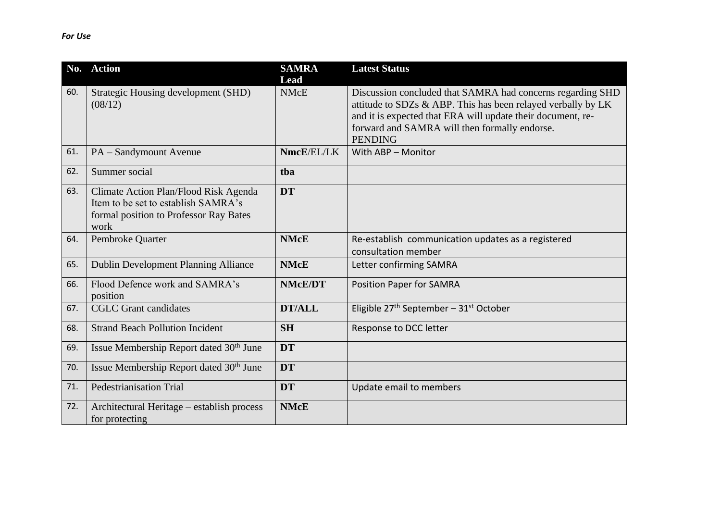| No. | <b>Action</b>                                                                                                                  | <b>SAMRA</b><br>Lead | <b>Latest Status</b>                                                                                                                                                                                                                                         |
|-----|--------------------------------------------------------------------------------------------------------------------------------|----------------------|--------------------------------------------------------------------------------------------------------------------------------------------------------------------------------------------------------------------------------------------------------------|
| 60. | Strategic Housing development (SHD)<br>(08/12)                                                                                 | <b>NMcE</b>          | Discussion concluded that SAMRA had concerns regarding SHD<br>attitude to SDZs & ABP. This has been relayed verbally by LK<br>and it is expected that ERA will update their document, re-<br>forward and SAMRA will then formally endorse.<br><b>PENDING</b> |
| 61. | PA - Sandymount Avenue                                                                                                         | NmcE/EL/LK           | With ABP - Monitor                                                                                                                                                                                                                                           |
| 62. | Summer social                                                                                                                  | tba                  |                                                                                                                                                                                                                                                              |
| 63. | Climate Action Plan/Flood Risk Agenda<br>Item to be set to establish SAMRA's<br>formal position to Professor Ray Bates<br>work | <b>DT</b>            |                                                                                                                                                                                                                                                              |
| 64. | Pembroke Quarter                                                                                                               | <b>NMcE</b>          | Re-establish communication updates as a registered<br>consultation member                                                                                                                                                                                    |
| 65. | <b>Dublin Development Planning Alliance</b>                                                                                    | <b>NMcE</b>          | Letter confirming SAMRA                                                                                                                                                                                                                                      |
| 66. | Flood Defence work and SAMRA's<br>position                                                                                     | <b>NMcE/DT</b>       | <b>Position Paper for SAMRA</b>                                                                                                                                                                                                                              |
| 67. | <b>CGLC</b> Grant candidates                                                                                                   | <b>DT/ALL</b>        | Eligible $27th$ September – $31st$ October                                                                                                                                                                                                                   |
| 68. | <b>Strand Beach Pollution Incident</b>                                                                                         | <b>SH</b>            | Response to DCC letter                                                                                                                                                                                                                                       |
| 69. | Issue Membership Report dated 30 <sup>th</sup> June                                                                            | <b>DT</b>            |                                                                                                                                                                                                                                                              |
| 70. | Issue Membership Report dated 30 <sup>th</sup> June                                                                            | <b>DT</b>            |                                                                                                                                                                                                                                                              |
| 71. | <b>Pedestrianisation Trial</b>                                                                                                 | <b>DT</b>            | Update email to members                                                                                                                                                                                                                                      |
| 72. | Architectural Heritage – establish process<br>for protecting                                                                   | <b>NMcE</b>          |                                                                                                                                                                                                                                                              |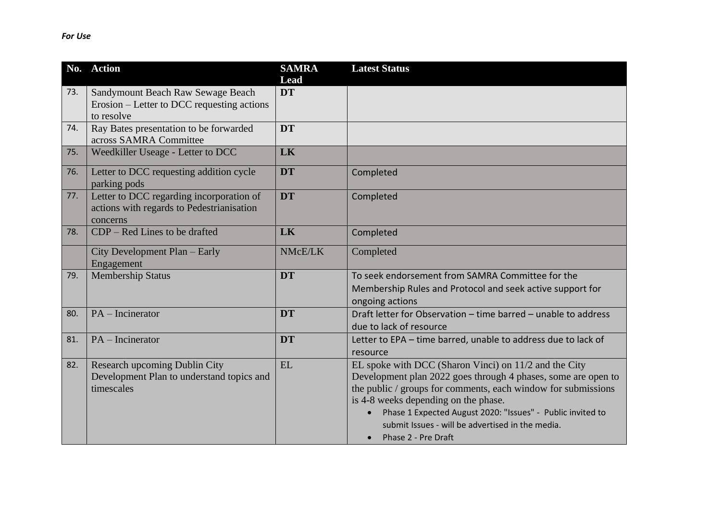| No. | <b>Action</b>                                                                                     | <b>SAMRA</b><br><b>Lead</b> | <b>Latest Status</b>                                                                                                                                                                                                                                                                                                                                                     |
|-----|---------------------------------------------------------------------------------------------------|-----------------------------|--------------------------------------------------------------------------------------------------------------------------------------------------------------------------------------------------------------------------------------------------------------------------------------------------------------------------------------------------------------------------|
| 73. | Sandymount Beach Raw Sewage Beach                                                                 | <b>DT</b>                   |                                                                                                                                                                                                                                                                                                                                                                          |
|     | Erosion – Letter to DCC requesting actions<br>to resolve                                          |                             |                                                                                                                                                                                                                                                                                                                                                                          |
| 74. | Ray Bates presentation to be forwarded<br>across SAMRA Committee                                  | <b>DT</b>                   |                                                                                                                                                                                                                                                                                                                                                                          |
| 75. | Weedkiller Useage - Letter to DCC                                                                 | LK                          |                                                                                                                                                                                                                                                                                                                                                                          |
| 76. | Letter to DCC requesting addition cycle<br>parking pods                                           | <b>DT</b>                   | Completed                                                                                                                                                                                                                                                                                                                                                                |
| 77. | Letter to DCC regarding incorporation of<br>actions with regards to Pedestrianisation<br>concerns | <b>DT</b>                   | Completed                                                                                                                                                                                                                                                                                                                                                                |
| 78. | $CDP - Red Lines$ to be drafted                                                                   | LK                          | Completed                                                                                                                                                                                                                                                                                                                                                                |
|     | City Development Plan – Early<br>Engagement                                                       | NMcE/LK                     | Completed                                                                                                                                                                                                                                                                                                                                                                |
| 79. | <b>Membership Status</b>                                                                          | <b>DT</b>                   | To seek endorsement from SAMRA Committee for the<br>Membership Rules and Protocol and seek active support for<br>ongoing actions                                                                                                                                                                                                                                         |
| 80. | $PA$ – Incinerator                                                                                | <b>DT</b>                   | Draft letter for Observation - time barred - unable to address<br>due to lack of resource                                                                                                                                                                                                                                                                                |
| 81. | $PA$ – Incinerator                                                                                | <b>DT</b>                   | Letter to EPA - time barred, unable to address due to lack of<br>resource                                                                                                                                                                                                                                                                                                |
| 82. | Research upcoming Dublin City<br>Development Plan to understand topics and<br>timescales          | <b>EL</b>                   | EL spoke with DCC (Sharon Vinci) on 11/2 and the City<br>Development plan 2022 goes through 4 phases, some are open to<br>the public / groups for comments, each window for submissions<br>is 4-8 weeks depending on the phase.<br>Phase 1 Expected August 2020: "Issues" - Public invited to<br>submit Issues - will be advertised in the media.<br>Phase 2 - Pre Draft |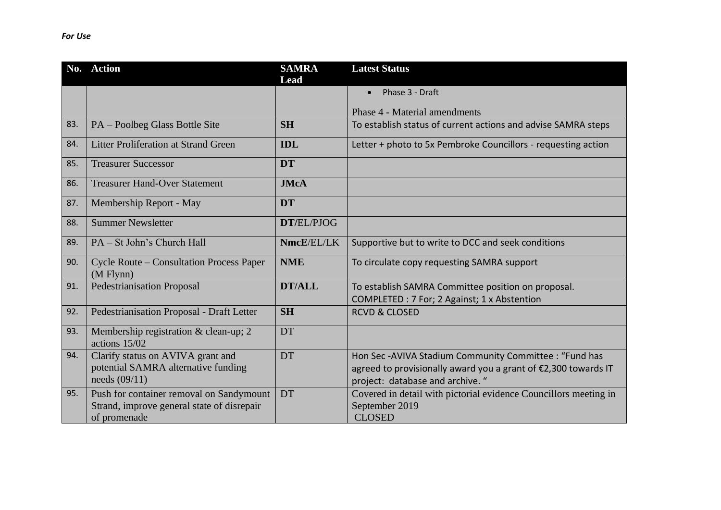|     | No. Action                                                                                             | <b>SAMRA</b><br>Lead | <b>Latest Status</b>                                                                                                                                        |
|-----|--------------------------------------------------------------------------------------------------------|----------------------|-------------------------------------------------------------------------------------------------------------------------------------------------------------|
|     |                                                                                                        |                      | Phase 3 - Draft<br>$\bullet$                                                                                                                                |
|     |                                                                                                        |                      | Phase 4 - Material amendments                                                                                                                               |
| 83. | PA - Poolbeg Glass Bottle Site                                                                         | <b>SH</b>            | To establish status of current actions and advise SAMRA steps                                                                                               |
| 84. | <b>Litter Proliferation at Strand Green</b>                                                            | <b>IDL</b>           | Letter + photo to 5x Pembroke Councillors - requesting action                                                                                               |
| 85. | <b>Treasurer Successor</b>                                                                             | <b>DT</b>            |                                                                                                                                                             |
| 86. | <b>Treasurer Hand-Over Statement</b>                                                                   | <b>JMcA</b>          |                                                                                                                                                             |
| 87. | Membership Report - May                                                                                | <b>DT</b>            |                                                                                                                                                             |
| 88. | <b>Summer Newsletter</b>                                                                               | DT/EL/PJOG           |                                                                                                                                                             |
| 89. | PA – St John's Church Hall                                                                             | NmcE/EL/LK           | Supportive but to write to DCC and seek conditions                                                                                                          |
| 90. | <b>Cycle Route – Consultation Process Paper</b><br>$(M$ Flynn $)$                                      | <b>NME</b>           | To circulate copy requesting SAMRA support                                                                                                                  |
| 91. | <b>Pedestrianisation Proposal</b>                                                                      | <b>DT/ALL</b>        | To establish SAMRA Committee position on proposal.<br>COMPLETED : 7 For; 2 Against; 1 x Abstention                                                          |
| 92. | Pedestrianisation Proposal - Draft Letter                                                              | <b>SH</b>            | <b>RCVD &amp; CLOSED</b>                                                                                                                                    |
| 93. | Membership registration & clean-up; 2<br>actions 15/02                                                 | DT                   |                                                                                                                                                             |
| 94. | Clarify status on AVIVA grant and<br>potential SAMRA alternative funding<br>needs $(09/11)$            | DT                   | Hon Sec-AVIVA Stadium Community Committee : "Fund has<br>agreed to provisionally award you a grant of €2,300 towards IT<br>project: database and archive. " |
| 95. | Push for container removal on Sandymount<br>Strand, improve general state of disrepair<br>of promenade | DT                   | Covered in detail with pictorial evidence Councillors meeting in<br>September 2019<br><b>CLOSED</b>                                                         |